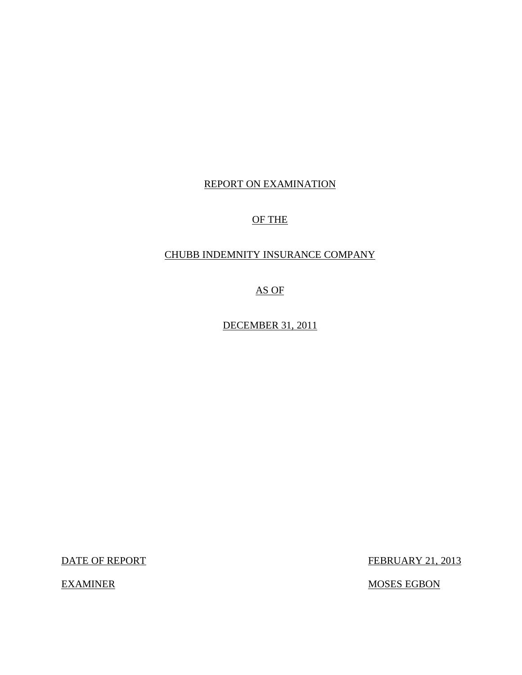## REPORT ON EXAMINATION

## OF THE

## CHUBB INDEMNITY INSURANCE COMPANY

AS OF

DECEMBER 31, 2011

DATE OF REPORT FEBRUARY 21, 2013

EXAMINER MOSES EGBON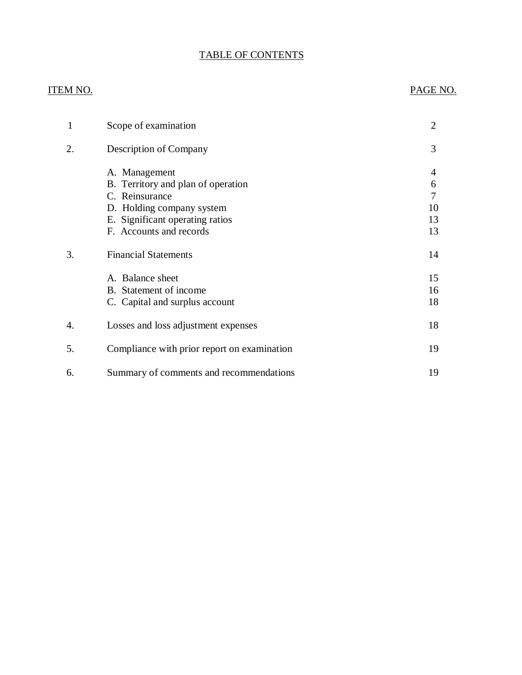## TABLE OF CONTENTS

## ITEM NO. PAGE NO.

| 1  | Scope of examination                        | 2  |
|----|---------------------------------------------|----|
| 2. | Description of Company                      | 3  |
|    | A. Management                               | 4  |
|    | B. Territory and plan of operation          | 6  |
|    | C. Reinsurance                              | 7  |
|    | D. Holding company system                   | 10 |
|    | E. Significant operating ratios             | 13 |
|    | F. Accounts and records                     | 13 |
| 3. | <b>Financial Statements</b>                 | 14 |
|    | A. Balance sheet                            | 15 |
|    | B. Statement of income                      | 16 |
|    | C. Capital and surplus account              | 18 |
| 4. | Losses and loss adjustment expenses         | 18 |
| 5. | Compliance with prior report on examination | 19 |
| 6. | Summary of comments and recommendations     | 19 |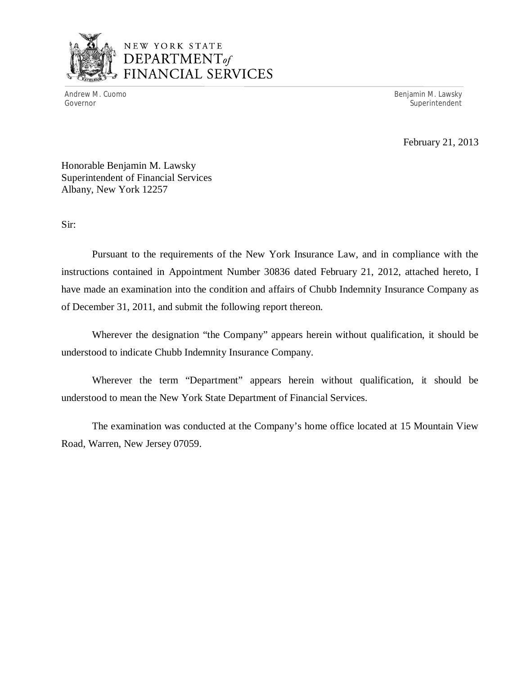

## NEW YORK STATE *DEPARTMENTof*  FINANCIAL SERVICES

Andrew M. Cuomo **Benjamin M. Lawsky** Governor Superintendent Superintendent Superintendent Superintendent Superintendent Superintendent Superintendent

February 21, 2013

Honorable Benjamin M. Lawsky Superintendent of Financial Services Albany, New York 12257

Sir:

Pursuant to the requirements of the New York Insurance Law, and in compliance with the instructions contained in Appointment Number 30836 dated February 21, 2012, attached hereto, I have made an examination into the condition and affairs of Chubb Indemnity Insurance Company as of December 31, 2011, and submit the following report thereon.

Wherever the designation "the Company" appears herein without qualification, it should be understood to indicate Chubb Indemnity Insurance Company.

Wherever the term "Department" appears herein without qualification, it should be understood to mean the New York State Department of Financial Services.

The examination was conducted at the Company's home office located at 15 Mountain View Road, Warren, New Jersey 07059.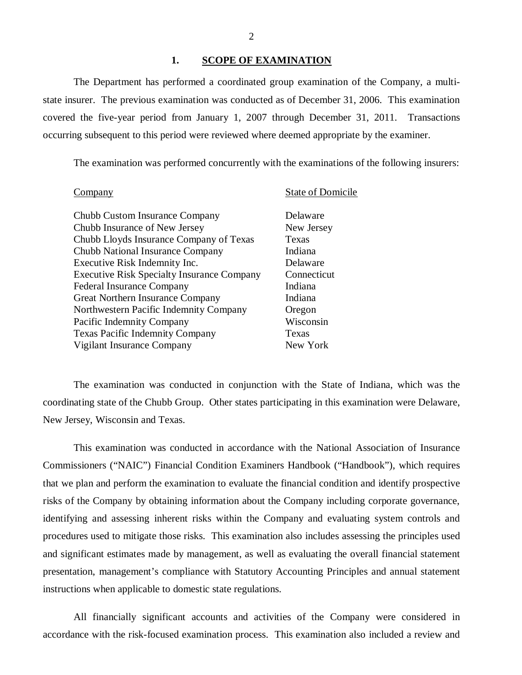#### 1. SCOPE OF EXAMINATION

The Department has performed a coordinated group examination of the Company*,* a multistate insurer. The previous examination was conducted as of December 31, 2006. This examination covered the five-year period from January 1, 2007 through December 31, 2011. Transactions occurring subsequent to this period were reviewed where deemed appropriate by the examiner.

The examination was performed concurrently with the examinations of the following insurers:

| ompany                                                          | <b>State of Domicile</b> |
|-----------------------------------------------------------------|--------------------------|
| Chubb Custom Insurance Company<br>Chubb Insurance of New Jersey | Delaware<br>New Jersey   |
| Chubb Lloyds Insurance Company of Texas                         | Texas                    |
| Chubb National Insurance Company                                | Indiana                  |
| Executive Risk Indemnity Inc.                                   | Delaware                 |
| <b>Executive Risk Specialty Insurance Company</b>               | Connecticut              |
| <b>Federal Insurance Company</b>                                | Indiana                  |
| Great Northern Insurance Company                                | Indiana                  |
| Northwestern Pacific Indemnity Company                          | Oregon                   |
| Pacific Indemnity Company                                       | Wisconsin                |
| <b>Texas Pacific Indemnity Company</b>                          | Texas                    |
| Vigilant Insurance Company                                      | New York                 |

The examination was conducted in conjunction with the State of Indiana, which was the coordinating state of the Chubb Group. Other states participating in this examination were Delaware, New Jersey, Wisconsin and Texas.

This examination was conducted in accordance with the National Association of Insurance Commissioners ("NAIC") Financial Condition Examiners Handbook ("Handbook"), which requires that we plan and perform the examination to evaluate the financial condition and identify prospective risks of the Company by obtaining information about the Company including corporate governance, identifying and assessing inherent risks within the Company and evaluating system controls and procedures used to mitigate those risks. This examination also includes assessing the principles used and significant estimates made by management, as well as evaluating the overall financial statement presentation, management's compliance with Statutory Accounting Principles and annual statement instructions when applicable to domestic state regulations.

All financially significant accounts and activities of the Company were considered in accordance with the risk-focused examination process. This examination also included a review and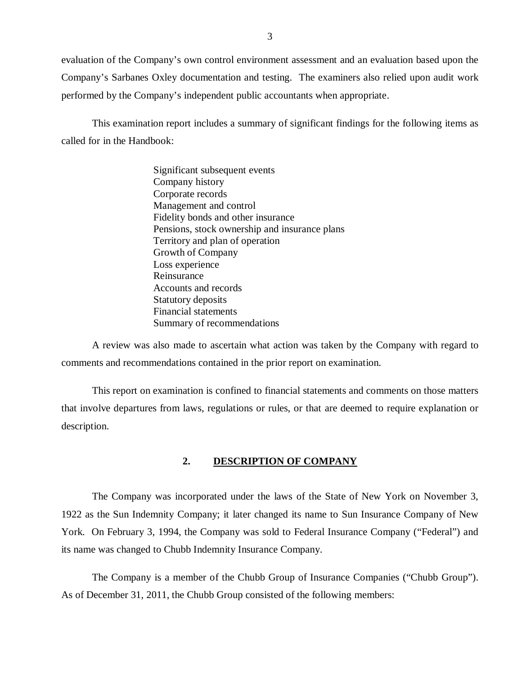<span id="page-4-0"></span>evaluation of the Company's own control environment assessment and an evaluation based upon the Company's Sarbanes Oxley documentation and testing. The examiners also relied upon audit work performed by the Company's independent public accountants when appropriate.

This examination report includes a summary of significant findings for the following items as called for in the Handbook:

> Significant subsequent events Company history Corporate records Management and control Fidelity bonds and other insurance Pensions, stock ownership and insurance plans Territory and plan of operation Growth of Company Loss experience Reinsurance Accounts and records Statutory deposits Financial statements Summary of recommendations

A review was also made to ascertain what action was taken by the Company with regard to comments and recommendations contained in the prior report on examination.

This report on examination is confined to financial statements and comments on those matters that involve departures from laws, regulations or rules, or that are deemed to require explanation or description.

#### **2. DESCRIPTION OF COMPANY**

The Company was incorporated under the laws of the State of New York on November 3, 1922 as the Sun Indemnity Company; it later changed its name to Sun Insurance Company of New York. On February 3, 1994, the Company was sold to Federal Insurance Company ("Federal") and its name was changed to Chubb Indemnity Insurance Company.

The Company is a member of the Chubb Group of Insurance Companies ("Chubb Group"). As of December 31, 2011, the Chubb Group consisted of the following members: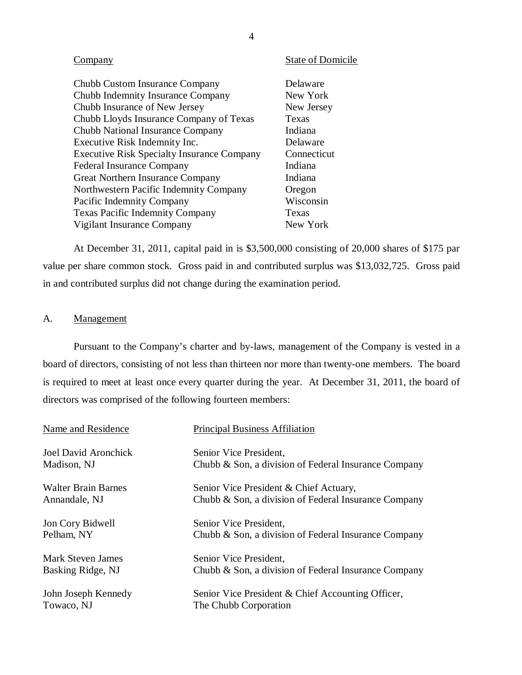<span id="page-5-0"></span>

| ompany                                            | <b>State of Domicile</b> |
|---------------------------------------------------|--------------------------|
| Chubb Custom Insurance Company                    | Delaware                 |
| Chubb Indemnity Insurance Company                 | New York                 |
| Chubb Insurance of New Jersey                     | New Jersey               |
| Chubb Lloyds Insurance Company of Texas           | Texas                    |
| Chubb National Insurance Company                  | Indiana                  |
| Executive Risk Indemnity Inc.                     | Delaware                 |
| <b>Executive Risk Specialty Insurance Company</b> | Connecticut              |
| <b>Federal Insurance Company</b>                  | Indiana                  |
| Great Northern Insurance Company                  | Indiana                  |
| Northwestern Pacific Indemnity Company            | Oregon                   |
| Pacific Indemnity Company                         | Wisconsin                |
| <b>Texas Pacific Indemnity Company</b>            | Texas                    |
| Vigilant Insurance Company                        | New York                 |
|                                                   |                          |

At December 31, 2011, capital paid in is \$3,500,000 consisting of 20,000 shares of \$175 par value per share common stock. Gross paid in and contributed surplus was \$13,032,725. Gross paid in and contributed surplus did not change during the examination period.

## A. Management

Pursuant to the Company's charter and by-laws, management of the Company is vested in a board of directors, consisting of not less than thirteen nor more than twenty-one members. The board is required to meet at least once every quarter during the year. At December 31, 2011, the board of directors was comprised of the following fourteen members:

| Name and Residence          | <b>Principal Business Affiliation</b>                |
|-----------------------------|------------------------------------------------------|
| <b>Joel David Aronchick</b> | Senior Vice President,                               |
| Madison, NJ                 | Chubb & Son, a division of Federal Insurance Company |
| <b>Walter Brain Barnes</b>  | Senior Vice President & Chief Actuary,               |
| Annandale, NJ               | Chubb & Son, a division of Federal Insurance Company |
| Jon Cory Bidwell            | Senior Vice President,                               |
| Pelham, NY                  | Chubb & Son, a division of Federal Insurance Company |
| Mark Steven James           | Senior Vice President,                               |
| Basking Ridge, NJ           | Chubb & Son, a division of Federal Insurance Company |
| John Joseph Kennedy         | Senior Vice President & Chief Accounting Officer,    |
| Towaco, NJ                  | The Chubb Corporation                                |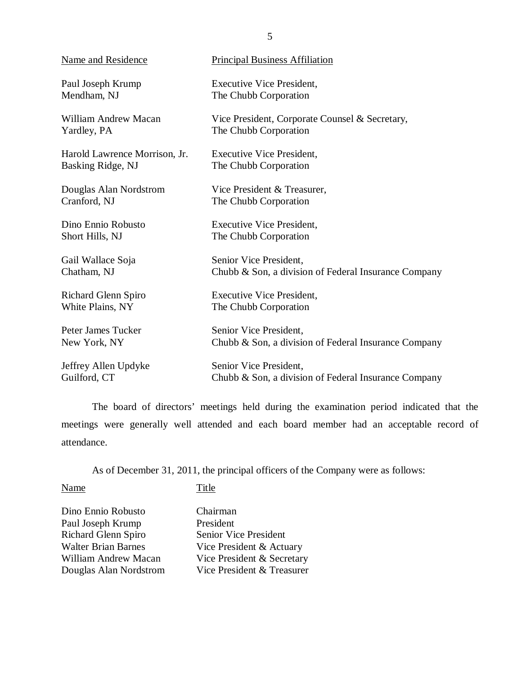| Name and Residence            | <b>Principal Business Affiliation</b>                |
|-------------------------------|------------------------------------------------------|
| Paul Joseph Krump             | <b>Executive Vice President,</b>                     |
| Mendham, NJ                   | The Chubb Corporation                                |
| William Andrew Macan          | Vice President, Corporate Counsel & Secretary,       |
| Yardley, PA                   | The Chubb Corporation                                |
| Harold Lawrence Morrison, Jr. | <b>Executive Vice President,</b>                     |
| Basking Ridge, NJ             | The Chubb Corporation                                |
| Douglas Alan Nordstrom        | Vice President & Treasurer,                          |
| Cranford, NJ                  | The Chubb Corporation                                |
| Dino Ennio Robusto            | <b>Executive Vice President,</b>                     |
| Short Hills, NJ               | The Chubb Corporation                                |
| Gail Wallace Soja             | Senior Vice President,                               |
| Chatham, NJ                   | Chubb & Son, a division of Federal Insurance Company |
| Richard Glenn Spiro           | <b>Executive Vice President,</b>                     |
| White Plains, NY              | The Chubb Corporation                                |
| Peter James Tucker            | Senior Vice President,                               |
| New York, NY                  | Chubb & Son, a division of Federal Insurance Company |
| Jeffrey Allen Updyke          | Senior Vice President,                               |
| Guilford, CT                  | Chubb & Son, a division of Federal Insurance Company |

The board of directors' meetings held during the examination period indicated that the meetings were generally well attended and each board member had an acceptable record of attendance.

As of December 31, 2011, the principal officers of the Company were as follows:

Name

**Title** 

Dino Ennio Robusto Paul Joseph Krump Richard Glenn Spiro Walter Brian Barnes William Andrew Macan Douglas Alan Nordstrom Chairman President Senior Vice President Vice President & Actuary Vice President & Secretary Vice President & Treasurer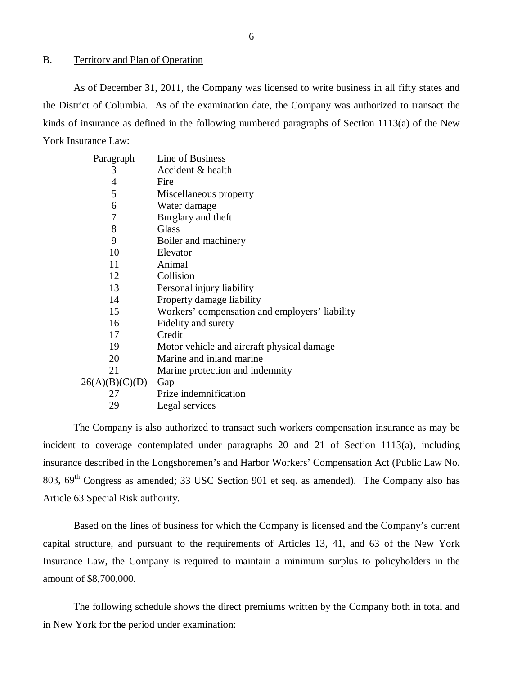#### <span id="page-7-0"></span>B. Territory and Plan of Operation

As of December 31, 2011, the Company was licensed to write business in all fifty states and the District of Columbia. As of the examination date, the Company was authorized to transact the kinds of insurance as defined in the following numbered paragraphs of Section 1113(a) of the New York Insurance Law:

| <u>Paragraph</u> | Line of Business                               |
|------------------|------------------------------------------------|
| 3                | Accident & health                              |
| 4                | Fire                                           |
| 5                | Miscellaneous property                         |
| 6                | Water damage                                   |
| 7                | Burglary and theft                             |
| 8                | <b>Glass</b>                                   |
| 9                | Boiler and machinery                           |
| 10               | Elevator                                       |
| 11               | Animal                                         |
| 12               | Collision                                      |
| 13               | Personal injury liability                      |
| 14               | Property damage liability                      |
| 15               | Workers' compensation and employers' liability |
| 16               | Fidelity and surety                            |
| 17               | Credit                                         |
| 19               | Motor vehicle and aircraft physical damage     |
| 20               | Marine and inland marine                       |
| 21               | Marine protection and indemnity                |
| 26(A)(B)(C)(D)   | Gap                                            |
| 27               | Prize indemnification                          |
| 29               | Legal services                                 |

The Company is also authorized to transact such workers compensation insurance as may be incident to coverage contemplated under paragraphs 20 and 21 of Section 1113(a), including insurance described in the Longshoremen's and Harbor Workers' Compensation Act (Public Law No. 803,  $69<sup>th</sup>$  Congress as amended; 33 USC Section 901 et seq. as amended). The Company also has Article 63 Special Risk authority.

Based on the lines of business for which the Company is licensed and the Company's current capital structure, and pursuant to the requirements of Articles 13, 41, and 63 of the New York Insurance Law, the Company is required to maintain a minimum surplus to policyholders in the amount of \$8,700,000.

The following schedule shows the direct premiums written by the Company both in total and in New York for the period under examination: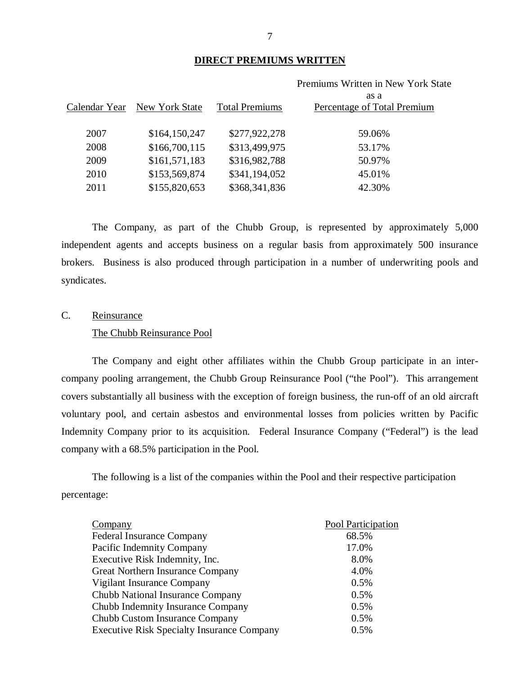#### **DIRECT PREMIUMS WRITTEN**

|               |                |                       | Premiums Written in New York State |
|---------------|----------------|-----------------------|------------------------------------|
|               |                |                       | as a                               |
| Calendar Year | New York State | <b>Total Premiums</b> | Percentage of Total Premium        |
|               |                |                       |                                    |
| 2007          | \$164,150,247  | \$277,922,278         | 59.06%                             |
| 2008          | \$166,700,115  | \$313,499,975         | 53.17%                             |
| 2009          | \$161,571,183  | \$316,982,788         | 50.97%                             |
| 2010          | \$153,569,874  | \$341,194,052         | 45.01%                             |
| 2011          | \$155,820,653  | \$368,341,836         | 42.30%                             |
|               |                |                       |                                    |

The Company, as part of the Chubb Group, is represented by approximately 5,000 independent agents and accepts business on a regular basis from approximately 500 insurance brokers. Business is also produced through participation in a number of underwriting pools and syndicates.

# C. Reinsurance

## The Chubb Reinsurance Pool

The Company and eight other affiliates within the Chubb Group participate in an intercompany pooling arrangement, the Chubb Group Reinsurance Pool ("the Pool"). This arrangement covers substantially all business with the exception of foreign business, the run-off of an old aircraft voluntary pool, and certain asbestos and environmental losses from policies written by Pacific Indemnity Company prior to its acquisition. Federal Insurance Company ("Federal") is the lead company with a 68.5% participation in the Pool.

The following is a list of the companies within the Pool and their respective participation percentage:

| Company                                           | Pool Participation |
|---------------------------------------------------|--------------------|
| <b>Federal Insurance Company</b>                  | 68.5%              |
| Pacific Indemnity Company                         | 17.0%              |
| Executive Risk Indemnity, Inc.                    | 8.0%               |
| Great Northern Insurance Company                  | 4.0%               |
| Vigilant Insurance Company                        | 0.5%               |
| Chubb National Insurance Company                  | 0.5%               |
| Chubb Indemnity Insurance Company                 | 0.5%               |
| Chubb Custom Insurance Company                    | 0.5%               |
| <b>Executive Risk Specialty Insurance Company</b> | 0.5%               |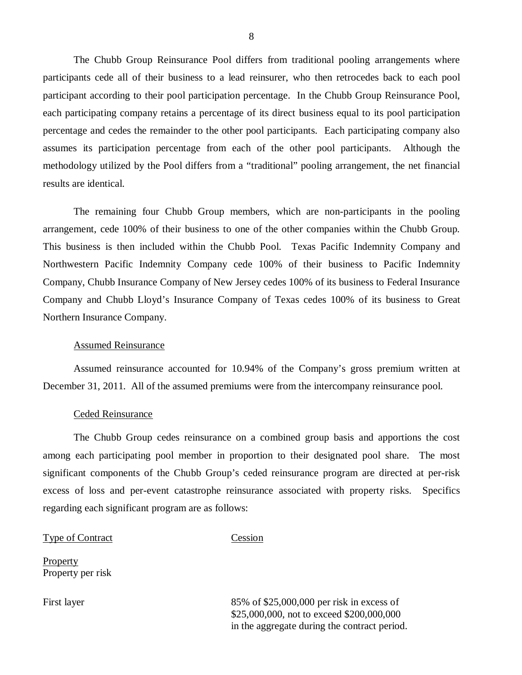The Chubb Group Reinsurance Pool differs from traditional pooling arrangements where participants cede all of their business to a lead reinsurer, who then retrocedes back to each pool participant according to their pool participation percentage. In the Chubb Group Reinsurance Pool, each participating company retains a percentage of its direct business equal to its pool participation percentage and cedes the remainder to the other pool participants. Each participating company also assumes its participation percentage from each of the other pool participants. Although the methodology utilized by the Pool differs from a "traditional" pooling arrangement, the net financial results are identical.

The remaining four Chubb Group members, which are non-participants in the pooling arrangement, cede 100% of their business to one of the other companies within the Chubb Group. This business is then included within the Chubb Pool. Texas Pacific Indemnity Company and Northwestern Pacific Indemnity Company cede 100% of their business to Pacific Indemnity Company, Chubb Insurance Company of New Jersey cedes 100% of its business to Federal Insurance Company and Chubb Lloyd's Insurance Company of Texas cedes 100% of its business to Great Northern Insurance Company.

#### Assumed Reinsurance

Assumed reinsurance accounted for 10.94% of the Company's gross premium written at December 31, 2011. All of the assumed premiums were from the intercompany reinsurance pool.

#### Ceded Reinsurance

The Chubb Group cedes reinsurance on a combined group basis and apportions the cost among each participating pool member in proportion to their designated pool share. The most significant components of the Chubb Group's ceded reinsurance program are directed at per-risk excess of loss and per-event catastrophe reinsurance associated with property risks. Specifics regarding each significant program are as follows:

#### Type of Contract Cession

Property per risk

**Property** 

First layer 85% of \$25,000,000 per risk in excess of \$25,000,000, not to exceed \$200,000,000 in the aggregate during the contract period.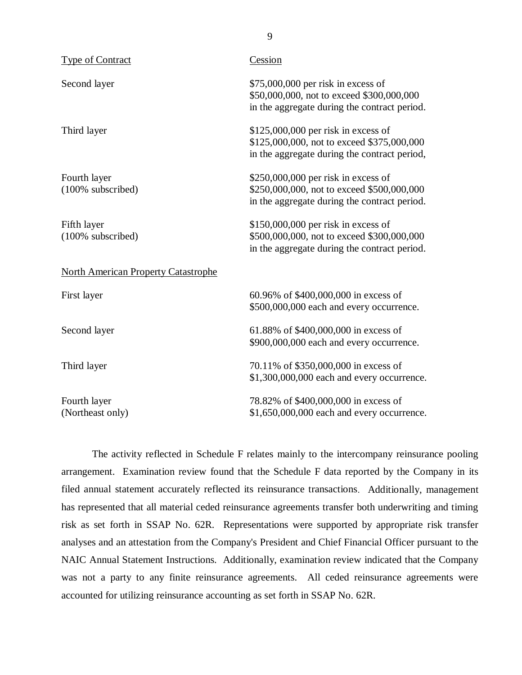| <b>Type of Contract</b>                    | Cession                                                                                                                            |
|--------------------------------------------|------------------------------------------------------------------------------------------------------------------------------------|
| Second layer                               | $$75,000,000$ per risk in excess of<br>\$50,000,000, not to exceed \$300,000,000<br>in the aggregate during the contract period.   |
| Third layer                                | $$125,000,000$ per risk in excess of<br>\$125,000,000, not to exceed \$375,000,000<br>in the aggregate during the contract period, |
| Fourth layer<br>(100% subscribed)          | $$250,000,000$ per risk in excess of<br>\$250,000,000, not to exceed \$500,000,000<br>in the aggregate during the contract period. |
| Fifth layer<br>(100% subscribed)           | $$150,000,000$ per risk in excess of<br>\$500,000,000, not to exceed \$300,000,000<br>in the aggregate during the contract period. |
| <b>North American Property Catastrophe</b> |                                                                                                                                    |
| First layer                                | 60.96% of \$400,000,000 in excess of<br>\$500,000,000 each and every occurrence.                                                   |
| Second layer                               | 61.88% of \$400,000,000 in excess of<br>\$900,000,000 each and every occurrence.                                                   |
| Third layer                                | 70.11% of \$350,000,000 in excess of<br>\$1,300,000,000 each and every occurrence.                                                 |
| Fourth layer<br>(Northeast only)           | 78.82% of \$400,000,000 in excess of<br>\$1,650,000,000 each and every occurrence.                                                 |

The activity reflected in Schedule F relates mainly to the intercompany reinsurance pooling arrangement. Examination review found that the Schedule F data reported by the Company in its filed annual statement accurately reflected its reinsurance transactions. Additionally, management has represented that all material ceded reinsurance agreements transfer both underwriting and timing risk as set forth in SSAP No. 62R. Representations were supported by appropriate risk transfer analyses and an attestation from the Company's President and Chief Financial Officer pursuant to the NAIC Annual Statement Instructions. Additionally, examination review indicated that the Company was not a party to any finite reinsurance agreements. All ceded reinsurance agreements were accounted for utilizing reinsurance accounting as set forth in SSAP No. 62R.

9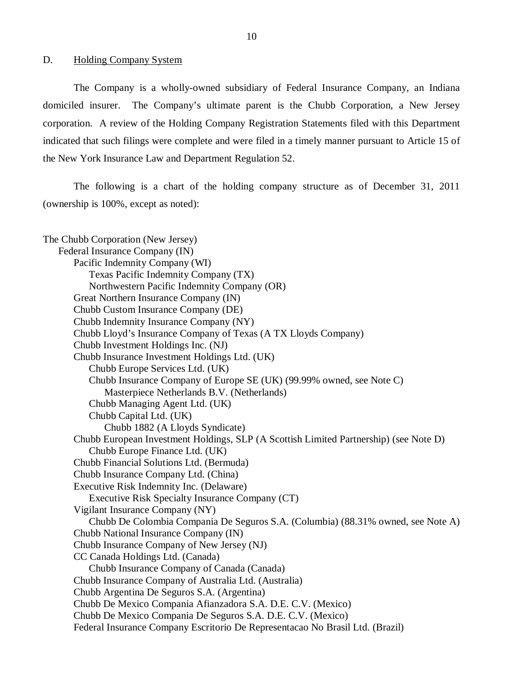<span id="page-11-0"></span>D. Holding Company System

The Company is a wholly-owned subsidiary of Federal Insurance Company, an Indiana domiciled insurer. The Company's ultimate parent is the Chubb Corporation, a New Jersey corporation. A review of the Holding Company Registration Statements filed with this Department indicated that such filings were complete and were filed in a timely manner pursuant to Article 15 of the New York Insurance Law and Department Regulation 52.

The following is a chart of the holding company structure as of December 31, 2011 (ownership is 100%, except as noted):

The Chubb Corporation (New Jersey) Federal Insurance Company (IN) Pacific Indemnity Company (WI) Texas Pacific Indemnity Company (TX) Northwestern Pacific Indemnity Company (OR) Great Northern Insurance Company (IN) Chubb Custom Insurance Company (DE) Chubb Indemnity Insurance Company (NY) Chubb Lloyd's Insurance Company of Texas (A TX Lloyds Company) Chubb Investment Holdings Inc. (NJ) Chubb Insurance Investment Holdings Ltd. (UK) Chubb Europe Services Ltd. (UK) Chubb Insurance Company of Europe SE (UK) (99.99% owned, see Note C) Masterpiece Netherlands B.V. (Netherlands) Chubb Managing Agent Ltd. (UK) Chubb Capital Ltd. (UK) Chubb 1882 (A Lloyds Syndicate) Chubb European Investment Holdings, SLP (A Scottish Limited Partnership) (see Note D) Chubb Europe Finance Ltd. (UK) Chubb Financial Solutions Ltd. (Bermuda) Chubb Insurance Company Ltd. (China) Executive Risk Indemnity Inc. (Delaware) Executive Risk Specialty Insurance Company (CT) Vigilant Insurance Company (NY) Chubb De Colombia Compania De Seguros S.A. (Columbia) (88.31% owned, see Note A) Chubb National Insurance Company (IN) Chubb Insurance Company of New Jersey (NJ) CC Canada Holdings Ltd. (Canada) Chubb Insurance Company of Canada (Canada) Chubb Insurance Company of Australia Ltd. (Australia) Chubb Argentina De Seguros S.A. (Argentina) Chubb De Mexico Compania Afianzadora S.A. D.E. C.V. (Mexico) Chubb De Mexico Compania De Seguros S.A. D.E. C.V. (Mexico) Federal Insurance Company Escritorio De Representacao No Brasil Ltd. (Brazil)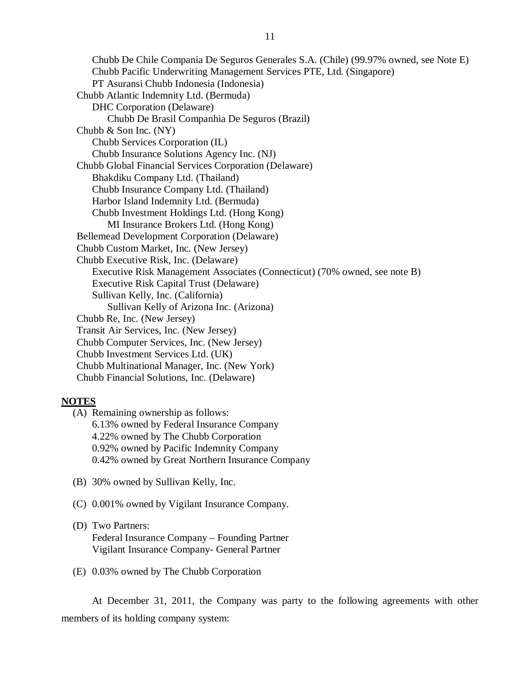Chubb De Chile Compania De Seguros Generales S.A. (Chile) (99.97% owned, see Note E) Chubb Pacific Underwriting Management Services PTE, Ltd. (Singapore) PT Asuransi Chubb Indonesia (Indonesia) Chubb Atlantic Indemnity Ltd. (Bermuda) DHC Corporation (Delaware) Chubb De Brasil Companhia De Seguros (Brazil) Chubb & Son Inc. (NY) Chubb Services Corporation (IL) Chubb Insurance Solutions Agency Inc. (NJ) Chubb Global Financial Services Corporation (Delaware) Bhakdiku Company Ltd. (Thailand) Chubb Insurance Company Ltd. (Thailand) Harbor Island Indemnity Ltd. (Bermuda) Chubb Investment Holdings Ltd. (Hong Kong) MI Insurance Brokers Ltd. (Hong Kong) Bellemead Development Corporation (Delaware) Chubb Custom Market, Inc. (New Jersey) Chubb Executive Risk, Inc. (Delaware) Executive Risk Management Associates (Connecticut) (70% owned, see note B) Executive Risk Capital Trust (Delaware) Sullivan Kelly, Inc. (California) Sullivan Kelly of Arizona Inc. (Arizona) Chubb Re, Inc. (New Jersey) Transit Air Services, Inc. (New Jersey) Chubb Computer Services, Inc. (New Jersey) Chubb Investment Services Ltd. (UK) Chubb Multinational Manager, Inc. (New York) Chubb Financial Solutions, Inc. (Delaware)

#### **NOTES**

(A) Remaining ownership as follows: 6.13% owned by Federal Insurance Company 4.22% owned by The Chubb Corporation 0.92% owned by Pacific Indemnity Company 0.42% owned by Great Northern Insurance Company

- (B) 30% owned by Sullivan Kelly, Inc.
- (C) 0.001% owned by Vigilant Insurance Company.

## (D) Two Partners:

Federal Insurance Company – Founding Partner Vigilant Insurance Company- General Partner

(E) 0.03% owned by The Chubb Corporation

At December 31, 2011, the Company was party to the following agreements with other members of its holding company system: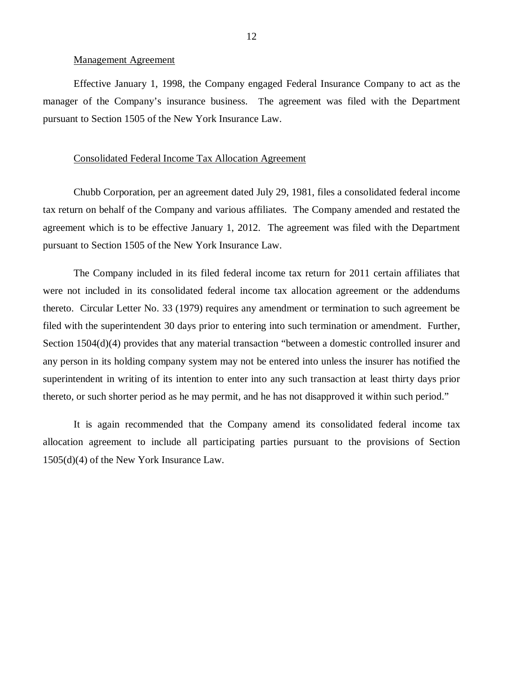#### Management Agreement

Effective January 1, 1998, the Company engaged Federal Insurance Company to act as the manager of the Company's insurance business. The agreement was filed with the Department pursuant to Section 1505 of the New York Insurance Law.

#### Consolidated Federal Income Tax Allocation Agreement

Chubb Corporation, per an agreement dated July 29, 1981, files a consolidated federal income tax return on behalf of the Company and various affiliates. The Company amended and restated the agreement which is to be effective January 1, 2012. The agreement was filed with the Department pursuant to Section 1505 of the New York Insurance Law.

The Company included in its filed federal income tax return for 2011 certain affiliates that were not included in its consolidated federal income tax allocation agreement or the addendums thereto. Circular Letter No. 33 (1979) requires any amendment or termination to such agreement be filed with the superintendent 30 days prior to entering into such termination or amendment. Further, Section 1504(d)(4) provides that any material transaction "between a domestic controlled insurer and any person in its holding company system may not be entered into unless the insurer has notified the superintendent in writing of its intention to enter into any such transaction at least thirty days prior thereto, or such shorter period as he may permit, and he has not disapproved it within such period."

It is again recommended that the Company amend its consolidated federal income tax allocation agreement to include all participating parties pursuant to the provisions of Section 1505(d)(4) of the New York Insurance Law.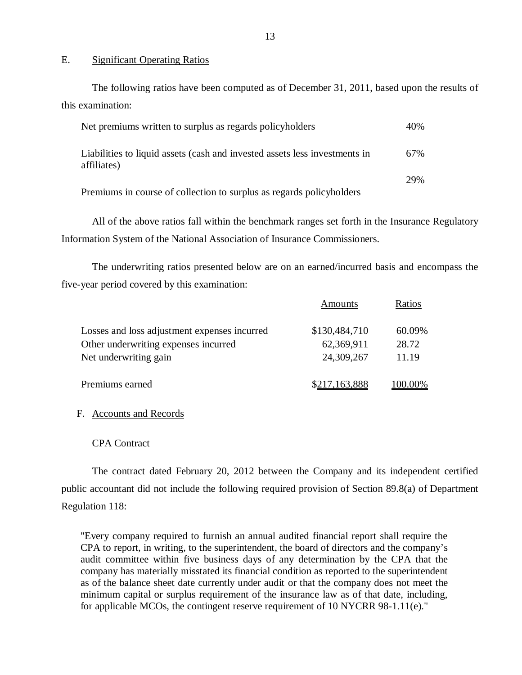#### E. Significant Operating Ratios

The following ratios have been computed as of December 31, 2011, based upon the results of this examination:

| Net premiums written to surplus as regards policyholders                                  | 40% |
|-------------------------------------------------------------------------------------------|-----|
| Liabilities to liquid assets (cash and invested assets less investments in<br>affiliates) | 67% |
| Premiums in course of collection to surplus as regards policyholders                      | 29% |

All of the above ratios fall within the benchmark ranges set forth in the Insurance Regulatory Information System of the National Association of Insurance Commissioners.

The underwriting ratios presented below are on an earned/incurred basis and encompass the five-year period covered by this examination:

|                                              | Amounts       | Ratios  |
|----------------------------------------------|---------------|---------|
| Losses and loss adjustment expenses incurred | \$130,484,710 | 60.09%  |
| Other underwriting expenses incurred         | 62,369,911    | 28.72   |
| Net underwriting gain                        | 24,309,267    | 11.19   |
| Premiums earned                              | \$217,163,888 | 100.00% |

#### F. Accounts and Records

#### CPA Contract

The contract dated February 20, 2012 between the Company and its independent certified public accountant did not include the following required provision of Section 89.8(a) of Department Regulation 118:

"Every company required to furnish an annual audited financial report shall require the CPA to report, in writing, to the superintendent, the board of directors and the company's audit committee within five business days of any determination by the CPA that the company has materially misstated its financial condition as reported to the superintendent as of the balance sheet date currently under audit or that the company does not meet the minimum capital or surplus requirement of the insurance law as of that date, including, for applicable MCOs, the contingent reserve requirement of 10 NYCRR 98-1.11(e)."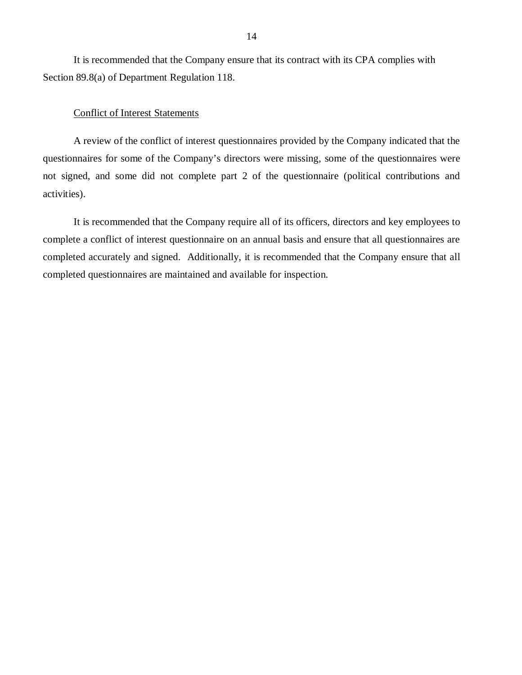<span id="page-15-0"></span>It is recommended that the Company ensure that its contract with its CPA complies with Section 89.8(a) of Department Regulation 118.

#### Conflict of Interest Statements

A review of the conflict of interest questionnaires provided by the Company indicated that the questionnaires for some of the Company's directors were missing, some of the questionnaires were not signed, and some did not complete part 2 of the questionnaire (political contributions and activities).

It is recommended that the Company require all of its officers, directors and key employees to complete a conflict of interest questionnaire on an annual basis and ensure that all questionnaires are completed accurately and signed. Additionally, it is recommended that the Company ensure that all completed questionnaires are maintained and available for inspection.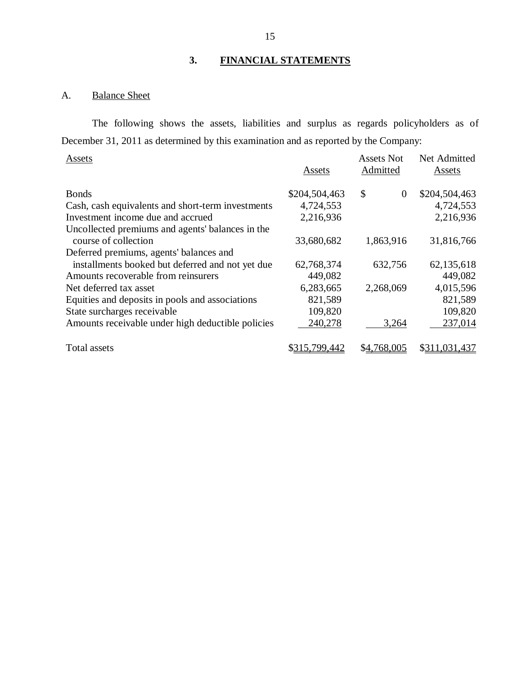## **3. FINANCIAL STATEMENTS**

## A. Balance Sheet

The following shows the assets, liabilities and surplus as regards policyholders as of December 31, 2011 as determined by this examination and as reported by the Company:

| Assets                                            | Assets        | <b>Assets Not</b><br>Admitted | Net Admitted<br>Assets |
|---------------------------------------------------|---------------|-------------------------------|------------------------|
| <b>Bonds</b>                                      | \$204,504,463 | \$<br>$\overline{0}$          | \$204,504,463          |
| Cash, cash equivalents and short-term investments | 4,724,553     |                               | 4,724,553              |
| Investment income due and accrued                 | 2,216,936     |                               | 2,216,936              |
| Uncollected premiums and agents' balances in the  |               |                               |                        |
| course of collection                              | 33,680,682    | 1,863,916                     | 31,816,766             |
| Deferred premiums, agents' balances and           |               |                               |                        |
| installments booked but deferred and not yet due  | 62,768,374    | 632,756                       | 62,135,618             |
| Amounts recoverable from reinsurers               | 449,082       |                               | 449,082                |
| Net deferred tax asset                            | 6,283,665     | 2,268,069                     | 4,015,596              |
| Equities and deposits in pools and associations   | 821,589       |                               | 821,589                |
| State surcharges receivable                       | 109,820       |                               | 109,820                |
| Amounts receivable under high deductible policies | 240,278       | 3,264                         | 237,014                |
| Total assets                                      | \$315,799,442 | \$4,768,005                   | \$311,031,437          |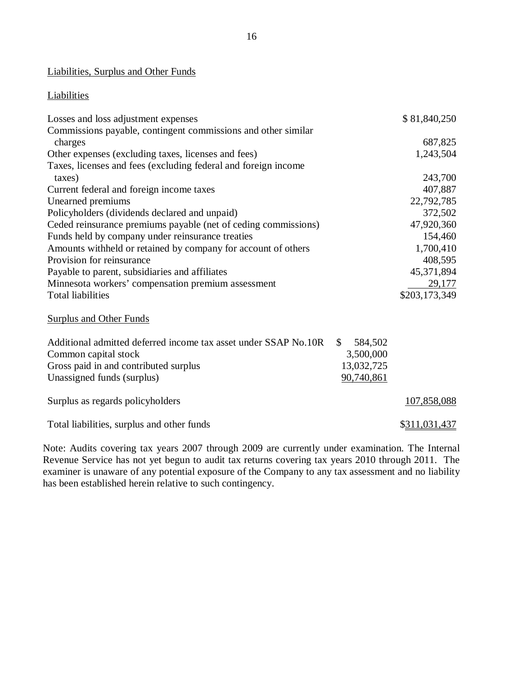## <span id="page-17-0"></span>Liabilities, Surplus and Other Funds

## **Liabilities**

| Losses and loss adjustment expenses                            | \$81,840,250  |
|----------------------------------------------------------------|---------------|
| Commissions payable, contingent commissions and other similar  |               |
| charges                                                        | 687,825       |
| Other expenses (excluding taxes, licenses and fees)            | 1,243,504     |
| Taxes, licenses and fees (excluding federal and foreign income |               |
| taxes)                                                         | 243,700       |
| Current federal and foreign income taxes                       | 407,887       |
| Unearned premiums                                              | 22,792,785    |
| Policyholders (dividends declared and unpaid)                  | 372,502       |
| Ceded reinsurance premiums payable (net of ceding commissions) | 47,920,360    |
| Funds held by company under reinsurance treaties               | 154,460       |
| Amounts withheld or retained by company for account of others  | 1,700,410     |
| Provision for reinsurance                                      | 408,595       |
| Payable to parent, subsidiaries and affiliates                 | 45,371,894    |
| Minnesota workers' compensation premium assessment             | 29,177        |
| <b>Total liabilities</b>                                       | \$203,173,349 |
| <b>Surplus and Other Funds</b>                                 |               |

| Additional admitted deferred income tax asset under SSAP No.10R | 584.502    |               |
|-----------------------------------------------------------------|------------|---------------|
| Common capital stock                                            | 3,500,000  |               |
| Gross paid in and contributed surplus                           | 13,032,725 |               |
| Unassigned funds (surplus)                                      | 90,740,861 |               |
|                                                                 |            |               |
| Surplus as regards policyholders                                |            | 107,858,088   |
|                                                                 |            |               |
| Total liabilities, surplus and other funds                      |            | \$311,031,437 |

Note: Audits covering tax years 2007 through 2009 are currently under examination. The Internal Revenue Service has not yet begun to audit tax returns covering tax years 2010 through 2011. The examiner is unaware of any potential exposure of the Company to any tax assessment and no liability has been established herein relative to such contingency.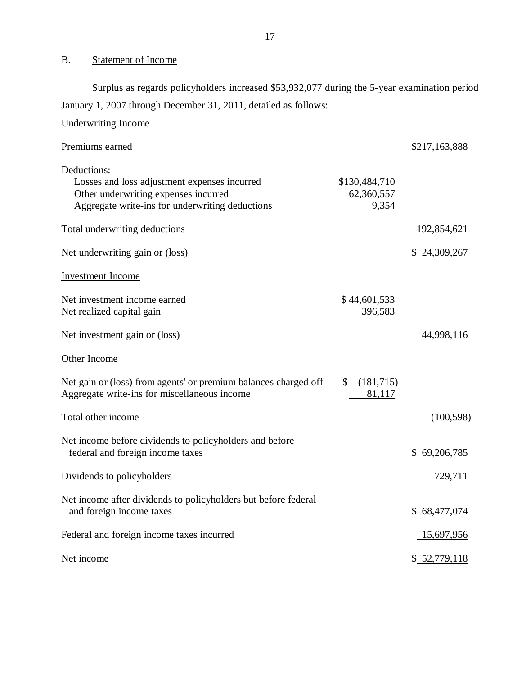## B. Statement of Income

Underwriting Income

Surplus as regards policyholders increased \$53,932,077 during the 5-year examination period January 1, 2007 through December 31, 2011, detailed as follows:

| Premiums earned                                                                                                                                        |                                      | \$217,163,888      |
|--------------------------------------------------------------------------------------------------------------------------------------------------------|--------------------------------------|--------------------|
| Deductions:<br>Losses and loss adjustment expenses incurred<br>Other underwriting expenses incurred<br>Aggregate write-ins for underwriting deductions | \$130,484,710<br>62,360,557<br>9,354 |                    |
| Total underwriting deductions                                                                                                                          |                                      | <u>192,854,621</u> |
| Net underwriting gain or (loss)                                                                                                                        |                                      | \$24,309,267       |
| <b>Investment Income</b>                                                                                                                               |                                      |                    |
| Net investment income earned<br>Net realized capital gain                                                                                              | \$44,601,533<br>396,583              |                    |
| Net investment gain or (loss)                                                                                                                          |                                      | 44,998,116         |
| Other Income                                                                                                                                           |                                      |                    |
| Net gain or (loss) from agents' or premium balances charged off<br>Aggregate write-ins for miscellaneous income                                        | (181, 715)<br>\$<br>81,117           |                    |
| Total other income                                                                                                                                     |                                      | (100, 598)         |
| Net income before dividends to policyholders and before<br>federal and foreign income taxes                                                            |                                      | \$69,206,785       |
| Dividends to policyholders                                                                                                                             |                                      | 729,711            |
| Net income after dividends to policyholders but before federal<br>and foreign income taxes                                                             |                                      | \$68,477,074       |
| Federal and foreign income taxes incurred                                                                                                              |                                      | 15,697,956         |
| Net income                                                                                                                                             |                                      | \$ 52,779,118      |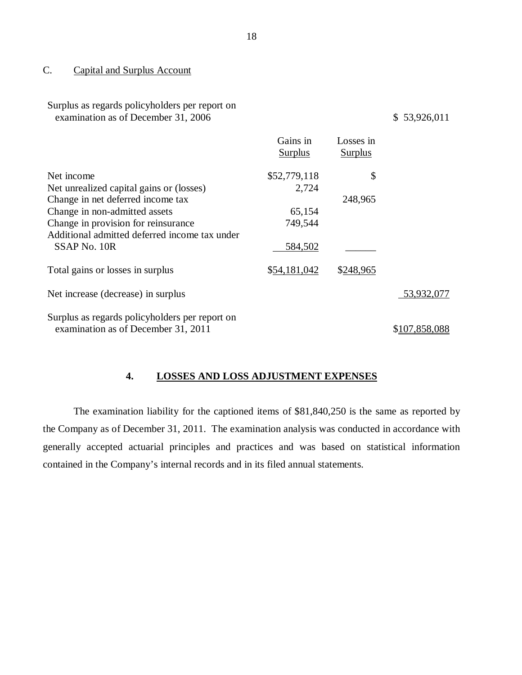#### <span id="page-19-0"></span>C. Capital and Surplus Account

| Surplus as regards policyholders per report on |
|------------------------------------------------|
| examination as of December 31, 2006            |

#### $$ 53,926,011$

|                                                | Gains in<br><b>Surplus</b> | Losses in<br><b>Surplus</b> |               |
|------------------------------------------------|----------------------------|-----------------------------|---------------|
| Net income                                     | \$52,779,118               | \$                          |               |
| Net unrealized capital gains or (losses)       | 2,724                      |                             |               |
| Change in net deferred income tax              |                            | 248,965                     |               |
| Change in non-admitted assets                  | 65,154                     |                             |               |
| Change in provision for reinsurance            | 749,544                    |                             |               |
| Additional admitted deferred income tax under  |                            |                             |               |
| SSAP No. 10R                                   | 584,502                    |                             |               |
| Total gains or losses in surplus               | \$54,181,042               | \$248,965                   |               |
| Net increase (decrease) in surplus             |                            |                             | 53,932,077    |
| Surplus as regards policyholders per report on |                            |                             |               |
| examination as of December 31, 2011            |                            |                             | \$107,858,088 |

## **4. LOSSES AND LOSS ADJUSTMENT EXPENSES**

The examination liability for the captioned items of \$81,840,250 is the same as reported by the Company as of December 31, 2011. The examination analysis was conducted in accordance with generally accepted actuarial principles and practices and was based on statistical information contained in the Company's internal records and in its filed annual statements.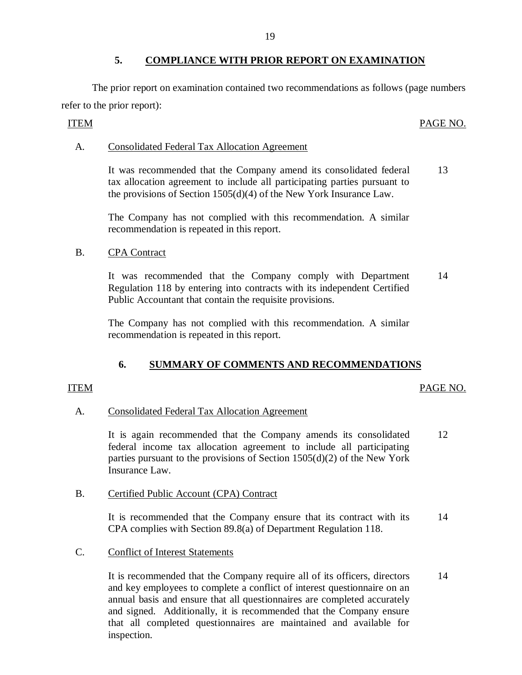## **5. COMPLIANCE WITH PRIOR REPORT ON EXAMINATION**

<span id="page-20-0"></span>The prior report on examination contained two recommendations as follows (page numbers refer to the prior report):

## ITEM PAGE NO.

## A. Consolidated Federal Tax Allocation Agreement

It was recommended that the Company amend its consolidated federal 13 tax allocation agreement to include all participating parties pursuant to the provisions of Section 1505(d)(4) of the New York Insurance Law.

The Company has not complied with this recommendation. A similar recommendation is repeated in this report.

## B. CPA Contract

It was recommended that the Company comply with Department 14 Regulation 118 by entering into contracts with its independent Certified Public Accountant that contain the requisite provisions.

The Company has not complied with this recommendation. A similar recommendation is repeated in this report.

## **6. SUMMARY OF COMMENTS AND RECOMMENDATIONS**

#### ITEM PAGE NO.

## A. Consolidated Federal Tax Allocation Agreement

It is again recommended that the Company amends its consolidated 12 federal income tax allocation agreement to include all participating parties pursuant to the provisions of Section 1505(d)(2) of the New York Insurance Law.

## B. Certified Public Account (CPA) Contract

It is recommended that the Company ensure that its contract with its 14 CPA complies with Section 89.8(a) of Department Regulation 118.

## C. Conflict of Interest Statements

It is recommended that the Company require all of its officers, directors 14 and key employees to complete a conflict of interest questionnaire on an annual basis and ensure that all questionnaires are completed accurately and signed. Additionally, it is recommended that the Company ensure that all completed questionnaires are maintained and available for inspection.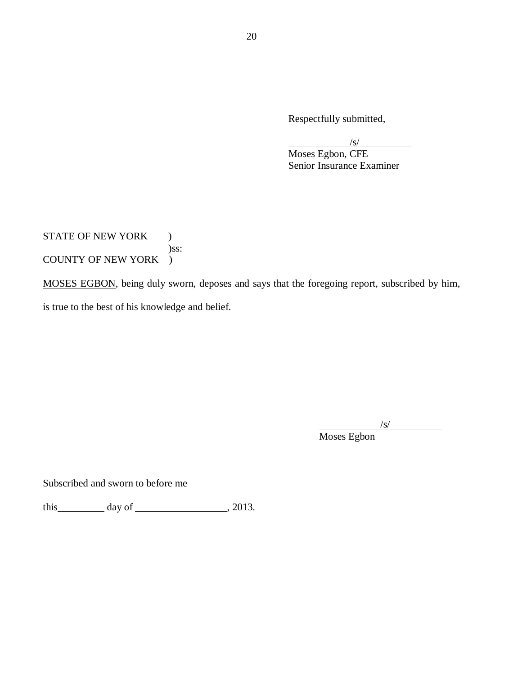Respectfully submitted,

/s/

Moses Egbon, CFE Senior Insurance Examiner

STATE OF NEW YORK ) )ss: COUNTY OF NEW YORK )

MOSES EGBON, being duly sworn, deposes and says that the foregoing report, subscribed by him, is true to the best of his knowledge and belief.

/s/

Moses Egbon

Subscribed and sworn to before me

this  $\qquad \qquad \text{day of } \qquad \qquad .2013.$